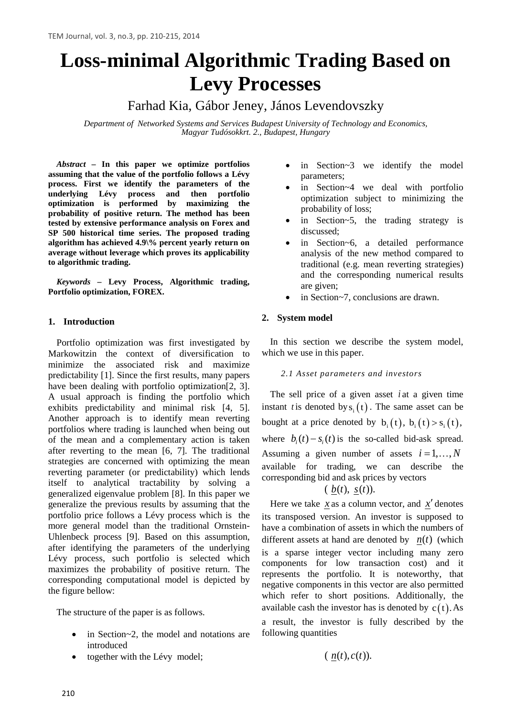# **Loss-minimal Algorithmic Trading Based on Levy Processes**

Farhad Kia, Gábor Jeney, János Levendovszky

*Department of Networked Systems and Services Budapest University of Technology and Economics, Magyar Tudósokkrt. 2., Budapest, Hungary*

*Abstract –* **In this paper we optimize portfolios assuming that the value of the portfolio follows a Lévy process. First we identify the parameters of the underlying Lévy process and then portfolio optimization is performed by maximizing the probability of positive return. The method has been tested by extensive performance analysis on Forex and SP 500 historical time series. The proposed trading algorithm has achieved 4.9\% percent yearly return on average without leverage which proves its applicability to algorithmic trading.**

*Keywords –* **Levy Process, Algorithmic trading, Portfolio optimization, FOREX.**

# **1. Introduction**

Portfolio optimization was first investigated by Markowitzin the context of diversification to minimize the associated risk and maximize predictability [1]. Since the first results, many papers have been dealing with portfolio optimization[2, 3]. A usual approach is finding the portfolio which exhibits predictability and minimal risk [4, 5]. Another approach is to identify mean reverting portfolios where trading is launched when being out of the mean and a complementary action is taken after reverting to the mean [6, 7]. The traditional strategies are concerned with optimizing the mean reverting parameter (or predictability) which lends itself to analytical tractability by solving a generalized eigenvalue problem [8]. In this paper we generalize the previous results by assuming that the portfolio price follows a Lévy process which is the more general model than the traditional Ornstein-Uhlenbeck process [9]. Based on this assumption, after identifying the parameters of the underlying Lévy process, such portfolio is selected which maximizes the probability of positive return. The corresponding computational model is depicted by the figure bellow:

The structure of the paper is as follows.

- in Section $\sim$ 2, the model and notations are introduced
- together with the Lévy model;
- in Section~3 we identify the model parameters;
- in Section~4 we deal with portfolio optimization subject to minimizing the probability of loss;
- in Section~5, the trading strategy is discussed;
- in Section~6, a detailed performance analysis of the new method compared to traditional (e.g. mean reverting strategies) and the corresponding numerical results are given;
- in Section~7, conclusions are drawn.

# **2. System model**

In this section we describe the system model, which we use in this paper.

# *2.1 Asset parameters and investors*

The sell price of a given asset *i* at a given time instant *t* is denoted by  $s_i(t)$ . The same asset can be bought at a price denoted by  $b_1(t)$ ,  $b_2(t) > s_1(t)$ , where  $b_i(t) - s_i(t)$  is the so-called bid-ask spread. Assuming a given number of assets  $i = 1, \ldots, N$ available for trading, we can describe the corresponding bid and ask prices by vectors

# $(\underline{b}(t), \underline{s}(t)).$

Here we take  $\dot{x}$  as a column vector, and  $\dot{x}'$  denotes its transposed version. An investor is supposed to have a combination of assets in which the numbers of different assets at hand are denoted by  $n(t)$  (which is a sparse integer vector including many zero components for low transaction cost) and it represents the portfolio. It is noteworthy, that negative components in this vector are also permitted which refer to short positions. Additionally, the available cash the investor has is denoted by  $c(t)$ . As a result, the investor is fully described by the following quantities

 $(n(t), c(t)).$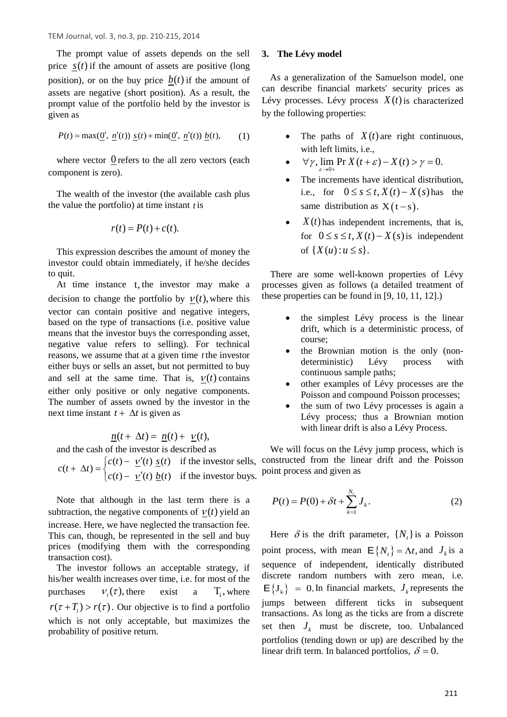The prompt value of assets depends on the sell price  $s(t)$  if the amount of assets are positive (long position), or on the buy price  $b(t)$  if the amount of assets are negative (short position). As a result, the prompt value of the portfolio held by the investor is given as

$$
P(t) = \max(\underline{0}', \ \underline{n}'(t)) \ \underline{s}(t) + \min(\underline{0}', \ \underline{n}'(t)) \ \underline{b}(t), \tag{1}
$$

where vector  $\theta$  refers to the all zero vectors (each component is zero).

The wealth of the investor (the available cash plus the value the portfolio) at time instant *t* is

$$
r(t) = P(t) + c(t).
$$

This expression describes the amount of money the investor could obtain immediately, if he/she decides to quit.

At time instance t, the investor may make a decision to change the portfolio by  $v(t)$ , where this vector can contain positive and negative integers, based on the type of transactions (i.e. positive value means that the investor buys the corresponding asset, negative value refers to selling). For technical reasons, we assume that at a given time *t* the investor either buys or sells an asset, but not permitted to buy and sell at the same time. That is,  $v(t)$  contains either only positive or only negative components. The number of assets owned by the investor in the next time instant  $t + \Delta t$  is given as

$$
\underline{n}(t+\Delta t)=\underline{n}(t)+\underline{\nu}(t),
$$

and the cash of the investor is described as

$$
c(t + \Delta t) = \begin{cases} c(t) - \underline{v}'(t) \underline{s}(t) & \text{if the investor sells,} \\ c(t) - \underline{v}'(t) \underline{b}(t) & \text{if the investor buys.} \end{cases}
$$

Note that although in the last term there is a subtraction, the negative components of  $v(t)$  yield an increase. Here, we have neglected the transaction fee. This can, though, be represented in the sell and buy prices (modifying them with the corresponding transaction cost).

The investor follows an acceptable strategy, if his/her wealth increases over time, i.e. for most of the purchases  $V_i(\tau)$ , there exist a T<sub>i</sub>, where  $r(\tau + T_i) > r(\tau)$ . Our objective is to find a portfolio which is not only acceptable, but maximizes the probability of positive return.

## **3. The Lévy model**

As a generalization of the Samuelson model, one can describe financial markets' security prices as Lévy processes. Lévy process  $X(t)$  is characterized by the following properties:

- The paths of  $X(t)$  are right continuous, with left limits, i.e.,
- $\forall \gamma, \lim_{\varepsilon \to 0+} \Pr X(t+\varepsilon) X(t) > \gamma = 0.$ ε
- The increments have identical distribution, i.e., for  $0 \leq s \leq t$ ,  $X(t) - X(s)$  has the same distribution as  $X(t - s)$ .
- $X(t)$  has independent increments, that is, for  $0 \leq s \leq t$ ,  $X(t) - X(s)$  is independent of  $\{ X(u) : u \leq s \}.$

There are some well-known properties of Lévy processes given as follows (a detailed treatment of these properties can be found in [9, 10, 11, 12].)

- the simplest Lévy process is the linear drift, which is a deterministic process, of course;
- the Brownian motion is the only (nondeterministic) Lévy process with continuous sample paths;
- other examples of Lévy processes are the Poisson and compound Poisson processes;
- the sum of two Lévy processes is again a Lévy process; thus a Brownian motion with linear drift is also a Lévy Process.

We will focus on the Lévy jump process, which is constructed from the linear drift and the Poisson point process and given as

<span id="page-1-0"></span>
$$
P(t) = P(0) + \delta t + \sum_{k=1}^{N_t} J_k.
$$
 (2)

Here  $\delta$  is the drift parameter,  $\{N_t\}$  is a Poisson point process, with mean  ${\bf E} \{ N_t \} = \Lambda t$ , and  $J_k$  is a sequence of independent, identically distributed discrete random numbers with zero mean, i.e.  $E\{J_k\} = 0$ . In financial markets,  $J_k$  represents the jumps between different ticks in subsequent transactions. As long as the ticks are from a discrete set then  $J_k$  must be discrete, too. Unbalanced portfolios (tending down or up) are described by the linear drift term. In balanced portfolios,  $\delta = 0$ .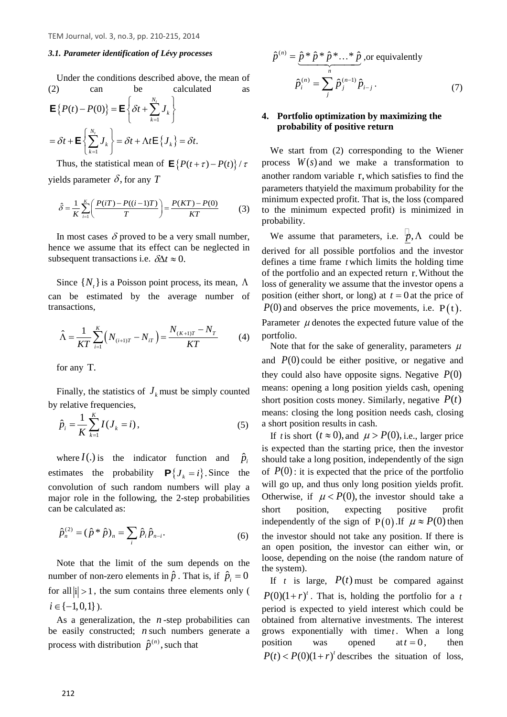#### *3.1. Parameter identification of Lévy processes*

Under the conditions described above, the mean of [\(2\)](#page-1-0) can be calculated as

$$
\mathbf{E}\left\{P(t) - P(0)\right\} = \mathbf{E}\left\{\delta t + \sum_{k=1}^{N_t} J_k\right\}
$$

$$
= \delta t + \mathbf{E}\left\{\sum_{k=1}^{N_t} J_k\right\} = \delta t + \Lambda t \mathbf{E}\left\{J_k\right\} = \delta t.
$$

Thus, the statistical mean of  $\mathbf{E} \{ P(t + \tau) - P(t) \} / \tau$ yields parameter  $\delta$ , for any *T* 

$$
\hat{\delta} = \frac{1}{K} \sum_{i=1}^{K} \left( \frac{P(iT) - P((i-1)T)}{T} \right) = \frac{P(KT) - P(0)}{KT}
$$
(3)

In most cases  $\delta$  proved to be a very small number, hence we assume that its effect can be neglected in subsequent transactions i.e.  $\delta \Delta t \approx 0$ .

Since  $\{N_t\}$  is a Poisson point process, its mean,  $\Lambda$ can be estimated by the average number of transactions,

$$
\hat{\Lambda} = \frac{1}{KT} \sum_{i=1}^{K} \left( N_{(i+1)T} - N_{iT} \right) = \frac{N_{(K+1)T} - N_T}{KT}
$$
(4)

for any T.

Finally, the statistics of  $J_k$  must be simply counted by relative frequencies,

$$
\hat{p}_i = \frac{1}{K} \sum_{k=1}^{K} I(J_k = i),
$$
\n(5)

where  $I(.)$  is the indicator function and  $\hat{p}_i$ estimates the probability  ${\bf P} \{ J_k = i \}$ . Since the convolution of such random numbers will play a major role in the following, the 2-step probabilities can be calculated as:

$$
\hat{p}_n^{(2)} = (\hat{p} * \hat{p})_n = \sum_i \hat{p}_i \hat{p}_{n-i}.
$$
\n(6)

Note that the limit of the sum depends on the number of non-zero elements in  $\hat{p}$ . That is, if  $\hat{p}_i = 0$ for all  $|i| > 1$ , the sum contains three elements only (  $i \in \{-1,0,1\}$ ).

As a generalization, the *n* -step probabilities can be easily constructed; *n* such numbers generate a process with distribution  $\hat{p}^{(n)}$ , such that

<span id="page-2-0"></span>
$$
\hat{p}^{(n)} = \underbrace{\hat{p} \cdot \hat{p} \cdot \hat{p} \cdot \dots \cdot \hat{p}}_{n}, \text{or equivalently}
$$
\n
$$
\hat{p}_{i}^{(n)} = \sum_{j}^{n} \hat{p}_{j}^{(n-1)} \hat{p}_{i-j}.
$$
\n(7)

#### **4. Portfolio optimization by maximizing the probability of positive return**

We start from [\(2\)](#page-1-0) corresponding to the Wiener process  $W(s)$  and we make a transformation to another random variable r, which satisfies to find the parameters thatyield the maximum probability for the minimum expected profit. That is, the loss (compared to the minimum expected profit) is minimized in probability.

We assume that parameters, i.e.  $\vert \psi, \Lambda \vert$  could be derived for all possible portfolios and the investor defines a time frame *t* which limits the holding time of the portfolio and an expected return r.Without the loss of generality we assume that the investor opens a position (either short, or long) at  $t = 0$  at the price of  $P(0)$  and observes the price movements, i.e.  $P(t)$ . Parameter  $\mu$  denotes the expected future value of the portfolio.

Note that for the sake of generality, parameters  $\mu$ and  $P(0)$  could be either positive, or negative and they could also have opposite signs. Negative  $P(0)$ means: opening a long position yields cash, opening short position costs money. Similarly, negative  $P(t)$ means: closing the long position needs cash, closing a short position results in cash.

If *t* is short  $(t \approx 0)$ , and  $\mu > P(0)$ , i.e., larger price is expected than the starting price, then the investor should take a long position, independently of the sign of  $P(0)$ : it is expected that the price of the portfolio will go up, and thus only long position yields profit. Otherwise, if  $\mu < P(0)$ , the investor should take a short position, expecting positive profit independently of the sign of P(0). If  $\mu \approx P(0)$  then the investor should not take any position. If there is an open position, the investor can either win, or loose, depending on the noise (the random nature of the system).

If t is large,  $P(t)$  must be compared against  $P(0)(1 + r)^t$ . That is, holding the portfolio for a *t* period is expected to yield interest which could be obtained from alternative investments. The interest grows exponentially with time  $t$ . When a long position was opened at  $t = 0$ , then  $P(t) < P(0)(1+r)^t$  describes the situation of loss,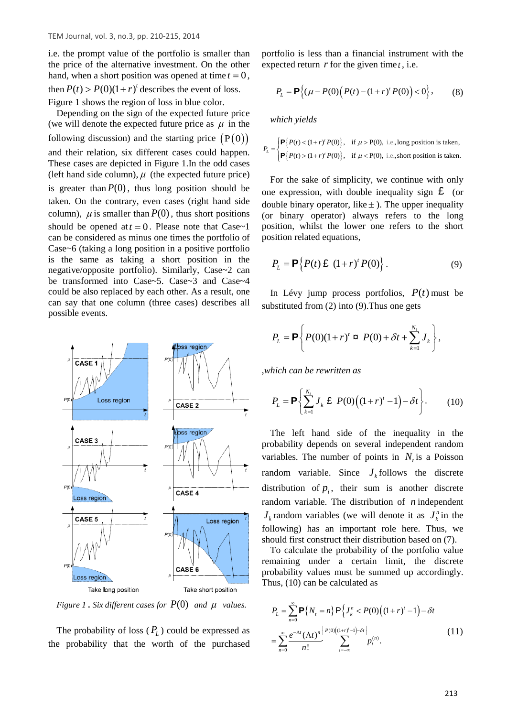i.e. the prompt value of the portfolio is smaller than the price of the alternative investment. On the other hand, when a short position was opened at time  $t = 0$ , then  $P(t) > P(0)(1 + r)^t$  describes the event of loss. [Figure 1](#page-3-0) shows the region of loss in blue color.

Depending on the sign of the expected future price (we will denote the expected future price as  $\mu$  in the following discussion) and the starting price  $(P(0))$ and their relation, six different cases could happen. These cases are depicted in [Figure 1.](#page-3-0)In the odd cases (left hand side column),  $\mu$  (the expected future price) is greater than  $P(0)$ , thus long position should be taken. On the contrary, even cases (right hand side column),  $\mu$  is smaller than  $P(0)$ , thus short positions should be opened at  $t = 0$ . Please note that Case~1 can be considered as minus one times the portfolio of Case~6 (taking a long position in a positive portfolio is the same as taking a short position in the negative/opposite portfolio). Similarly, Case~2 can be transformed into Case~5. Case~3 and Case~4 could be also replaced by each other. As a result, one can say that one column (three cases) describes all possible events.



<span id="page-3-0"></span>*Figure* 1. *Six different cases for*  $P(0)$  *and*  $\mu$  *values.* 

The probability of loss  $(P_L)$  could be expressed as the probability that the worth of the purchased

portfolio is less than a financial instrument with the expected return  $r$  for the given time  $t$ , i.e.

$$
P_{L} = \mathbf{P}\{(\mu - P(0)\big(P(t) - (1+r)^{t}P(0)\big) < 0\},\tag{8}
$$

*which yields*

$$
P_{L} = \begin{cases} \mathbf{P} \{ P(t) < (1+r)^{t} P(0) \}, & \text{if } \mu > P(0), \text{ i.e., long position is taken,} \\ \mathbf{P} \{ P(t) > (1+r)^{t} P(0) \}, & \text{if } \mu < P(0), \text{ i.e., short position is taken.} \end{cases}
$$

For the sake of simplicity, we continue with only one expression, with double inequality sign  $\epsilon$  (or double binary operator, like  $\pm$  ). The upper inequality (or binary operator) always refers to the long position, whilst the lower one refers to the short position related equations,

<span id="page-3-1"></span>
$$
P_L = \mathbf{P}\Big\{P(t)\,\mathbf{E}\,\left(1+r\right)^t P(0)\Big\}\,. \tag{9}
$$

In Lévy jump process portfolios,  $P(t)$  must be substituted from [\(2\)](#page-1-0) into [\(9\)](#page-3-1).Thus one gets

$$
P_{L} = \mathbf{P} \left\{ P(0)(1+r)^{t} \; \mathbf{a} \; P(0) + \delta t + \sum_{k=1}^{N_{t}} J_{k} \right\},\,
$$

,*which can be rewritten as*

$$
P_{L} = \mathbf{P} \left\{ \sum_{k=1}^{N_{t}} J_{k} \mathbf{\pounds} P(0) \Big( (1+r)^{t} - 1 \Big) - \delta t \right\}.
$$
 (10)

The left hand side of the inequality in the probability depends on several independent random variables. The number of points in  $N<sub>t</sub>$  is a Poisson random variable. Since  $J_k$  follows the discrete distribution of  $p_i$ , their sum is another discrete random variable. The distribution of *n* independent  $J_k$  random variables (we will denote it as  $J_k^n$  in the following) has an important role here. Thus, we should first construct their distribution based on [\(7\)](#page-2-0).

To calculate the probability of the portfolio value remaining under a certain limit, the discrete probability values must be summed up accordingly. Thus, (10) can be calculated as

$$
P_{L} = \sum_{n=0}^{\infty} \mathbf{P}\{N_{t} = n\} \mathbf{P}\{J_{k}^{n} < P(0) \left( (1+r)^{t} - 1 \right) - \delta t
$$
\n
$$
= \sum_{n=0}^{\infty} \frac{e^{-\Lambda t} (\Lambda t)^{n}}{n!} \sum_{i=-\infty}^{\lfloor P(0) \left( (1+r)^{i} - 1 \right) - \delta t \rfloor} P_{i}^{(n)}.
$$
\n(11)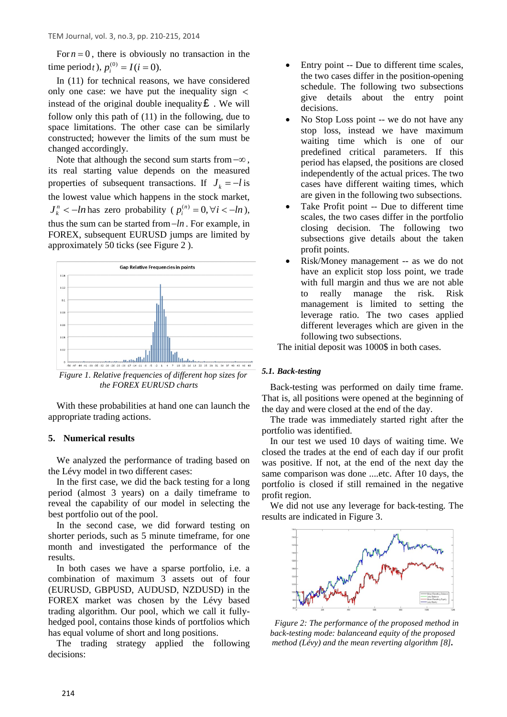For  $n = 0$ , there is obviously no transaction in the time period*t*),  $p_i^{(0)} = I(i = 0)$ .

In (11) for technical reasons, we have considered only one case: we have put the inequality sign  $\lt$ instead of the original double inequality  $\mathbf{\pounds}$ . We will follow only this path of (11) in the following, due to space limitations. The other case can be similarly constructed; however the limits of the sum must be changed accordingly.

Note that although the second sum starts from−∞ , its real starting value depends on the measured properties of subsequent transactions. If  $J_i = -l$  is the lowest value which happens in the stock market,  $J_k^n$  < −*ln* has zero probability ( $p_i^{(n)} = 0, \forall i < -ln$ ), thus the sum can be started from−*ln* . For example, in FOREX, subsequent EURUSD jumps are limited by approximately 50 ticks (se[e Figure 2](#page-4-0) ).



<span id="page-4-0"></span>*Figure 1. Relative frequencies of different hop sizes for the FOREX EURUSD charts*

With these probabilities at hand one can launch the appropriate trading actions.

## **5. Numerical results**

We analyzed the performance of trading based on the Lévy model in two different cases:

In the first case, we did the back testing for a long period (almost 3 years) on a daily timeframe to reveal the capability of our model in selecting the best portfolio out of the pool.

In the second case, we did forward testing on shorter periods, such as 5 minute timeframe, for one month and investigated the performance of the results.

In both cases we have a sparse portfolio, i.e. a combination of maximum 3 assets out of four (EURUSD, GBPUSD, AUDUSD, NZDUSD) in the FOREX market was chosen by the Lévy based trading algorithm. Our pool, which we call it fullyhedged pool, contains those kinds of portfolios which has equal volume of short and long positions.

The trading strategy applied the following decisions:

- Entry point -- Due to different time scales, the two cases differ in the position-opening schedule. The following two subsections give details about the entry point decisions.
- No Stop Loss point -- we do not have any stop loss, instead we have maximum waiting time which is one of our predefined critical parameters. If this period has elapsed, the positions are closed independently of the actual prices. The two cases have different waiting times, which are given in the following two subsections.
- Take Profit point -- Due to different time scales, the two cases differ in the portfolio closing decision. The following two subsections give details about the taken profit points.
- Risk/Money management -- as we do not have an explicit stop loss point, we trade with full margin and thus we are not able to really manage the risk. Risk management is limited to setting the leverage ratio. The two cases applied different leverages which are given in the following two subsections.

The initial deposit was 1000\$ in both cases.

## *5.1. Back-testing*

Back-testing was performed on daily time frame. That is, all positions were opened at the beginning of the day and were closed at the end of the day.

The trade was immediately started right after the portfolio was identified.

In our test we used 10 days of waiting time. We closed the trades at the end of each day if our profit was positive. If not, at the end of the next day the same comparison was done ....etc. After 10 days, the portfolio is closed if still remained in the negative profit region.

We did not use any leverage for back-testing. The results are indicated in [Figure 3.](#page-4-1)



<span id="page-4-1"></span>*Figure 2: The performance of the proposed method in back-testing mode: balanceand equity of the proposed method (Lévy) and the mean reverting algorithm [8].*